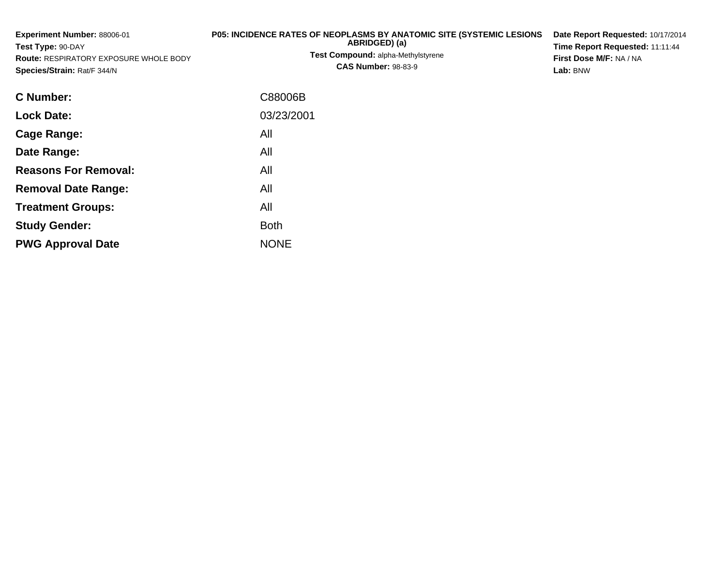| Experiment Number: 88006-01<br>Test Type: 90-DAY<br>Route: RESPIRATORY EXPOSURE WHOLE BODY<br>Species/Strain: Rat/F 344/N | P05: INCIDENCE RATES OF NEOPLASMS BY ANATOMIC SITE (SYSTEMIC LESIONS<br>ABRIDGED) (a)<br>Test Compound: alpha-Methylstyrene<br><b>CAS Number: 98-83-9</b> | Date Report Requested: 10/17/2014<br>Time Report Requested: 11:11:44<br>First Dose M/F: NA / NA<br>Lab: BNW |
|---------------------------------------------------------------------------------------------------------------------------|-----------------------------------------------------------------------------------------------------------------------------------------------------------|-------------------------------------------------------------------------------------------------------------|
| C Number:                                                                                                                 | C88006B                                                                                                                                                   |                                                                                                             |
| <b>Lock Date:</b>                                                                                                         | 03/23/2001                                                                                                                                                |                                                                                                             |
| <b>Cage Range:</b>                                                                                                        | All                                                                                                                                                       |                                                                                                             |
| Date Range:                                                                                                               | All                                                                                                                                                       |                                                                                                             |
| <b>Reasons For Removal:</b>                                                                                               | All                                                                                                                                                       |                                                                                                             |
| <b>Removal Date Range:</b>                                                                                                | All                                                                                                                                                       |                                                                                                             |
| <b>Treatment Groups:</b>                                                                                                  | All                                                                                                                                                       |                                                                                                             |
| <b>Study Gender:</b>                                                                                                      | <b>Both</b>                                                                                                                                               |                                                                                                             |

e NONE

**PWG Approval Date**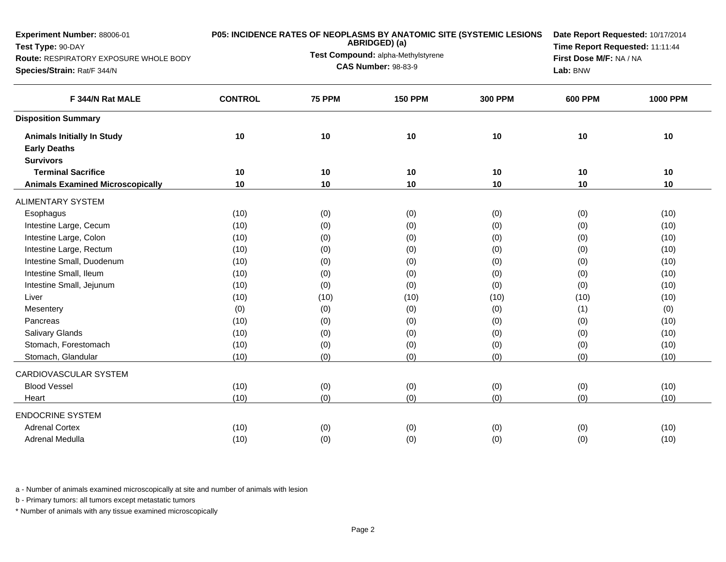| Experiment Number: 88006-01<br>Test Type: 90-DAY<br>Route: RESPIRATORY EXPOSURE WHOLE BODY<br>Species/Strain: Rat/F 344/N |                | <b>P05: INCIDENCE RATES OF NEOPLASMS BY ANATOMIC SITE (SYSTEMIC LESIONS</b><br>ABRIDGED) (a)<br>Test Compound: alpha-Methylstyrene<br><b>CAS Number: 98-83-9</b> | Date Report Requested: 10/17/2014<br>Time Report Requested: 11:11:44<br>First Dose M/F: NA / NA<br>Lab: BNW |                |                |                 |
|---------------------------------------------------------------------------------------------------------------------------|----------------|------------------------------------------------------------------------------------------------------------------------------------------------------------------|-------------------------------------------------------------------------------------------------------------|----------------|----------------|-----------------|
| F 344/N Rat MALE                                                                                                          | <b>CONTROL</b> | <b>75 PPM</b>                                                                                                                                                    | <b>150 PPM</b>                                                                                              | <b>300 PPM</b> | <b>600 PPM</b> | <b>1000 PPM</b> |
| <b>Disposition Summary</b>                                                                                                |                |                                                                                                                                                                  |                                                                                                             |                |                |                 |
| <b>Animals Initially In Study</b><br><b>Early Deaths</b><br><b>Survivors</b>                                              | 10             | 10                                                                                                                                                               | 10                                                                                                          | 10             | 10             | 10              |
| <b>Terminal Sacrifice</b>                                                                                                 | 10             | 10                                                                                                                                                               | 10                                                                                                          | 10             | 10             | 10              |
| <b>Animals Examined Microscopically</b>                                                                                   | 10             | 10                                                                                                                                                               | 10                                                                                                          | 10             | 10             | 10              |
| <b>ALIMENTARY SYSTEM</b>                                                                                                  |                |                                                                                                                                                                  |                                                                                                             |                |                |                 |
| Esophagus                                                                                                                 | (10)           | (0)                                                                                                                                                              | (0)                                                                                                         | (0)            | (0)            | (10)            |
| Intestine Large, Cecum                                                                                                    | (10)           | (0)                                                                                                                                                              | (0)                                                                                                         | (0)            | (0)            | (10)            |
| Intestine Large, Colon                                                                                                    | (10)           | (0)                                                                                                                                                              | (0)                                                                                                         | (0)            | (0)            | (10)            |
| Intestine Large, Rectum                                                                                                   | (10)           | (0)                                                                                                                                                              | (0)                                                                                                         | (0)            | (0)            | (10)            |
| Intestine Small, Duodenum                                                                                                 | (10)           | (0)                                                                                                                                                              | (0)                                                                                                         | (0)            | (0)            | (10)            |
| Intestine Small, Ileum                                                                                                    | (10)           | (0)                                                                                                                                                              | (0)                                                                                                         | (0)            | (0)            | (10)            |
| Intestine Small, Jejunum                                                                                                  | (10)           | (0)                                                                                                                                                              | (0)                                                                                                         | (0)            | (0)            | (10)            |
| Liver                                                                                                                     | (10)           | (10)                                                                                                                                                             | (10)                                                                                                        | (10)           | (10)           | (10)            |
| Mesentery                                                                                                                 | (0)            | (0)                                                                                                                                                              | (0)                                                                                                         | (0)            | (1)            | (0)             |
| Pancreas                                                                                                                  | (10)           | (0)                                                                                                                                                              | (0)                                                                                                         | (0)            | (0)            | (10)            |
| <b>Salivary Glands</b>                                                                                                    | (10)           | (0)                                                                                                                                                              | (0)                                                                                                         | (0)            | (0)            | (10)            |
| Stomach, Forestomach                                                                                                      | (10)           | (0)                                                                                                                                                              | (0)                                                                                                         | (0)            | (0)            | (10)            |
| Stomach, Glandular                                                                                                        | (10)           | (0)                                                                                                                                                              | (0)                                                                                                         | (0)            | (0)            | (10)            |
| CARDIOVASCULAR SYSTEM                                                                                                     |                |                                                                                                                                                                  |                                                                                                             |                |                |                 |
| <b>Blood Vessel</b>                                                                                                       | (10)           | (0)                                                                                                                                                              | (0)                                                                                                         | (0)            | (0)            | (10)            |
| Heart                                                                                                                     | (10)           | (0)                                                                                                                                                              | (0)                                                                                                         | (0)            | (0)            | (10)            |
| <b>ENDOCRINE SYSTEM</b>                                                                                                   |                |                                                                                                                                                                  |                                                                                                             |                |                |                 |
| <b>Adrenal Cortex</b>                                                                                                     | (10)           | (0)                                                                                                                                                              | (0)                                                                                                         | (0)            | (0)            | (10)            |
| Adrenal Medulla                                                                                                           | (10)           | (0)                                                                                                                                                              | (0)                                                                                                         | (0)            | (0)            | (10)            |

b - Primary tumors: all tumors except metastatic tumors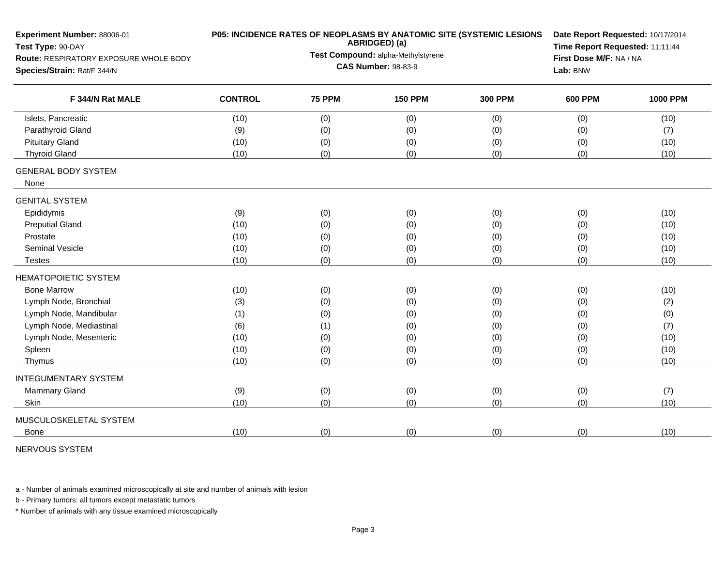| Experiment Number: 88006-01<br>Test Type: 90-DAY |                |                            | ABRIDGED) (a)                      | P05: INCIDENCE RATES OF NEOPLASMS BY ANATOMIC SITE (SYSTEMIC LESIONS | Date Report Requested: 10/17/2014<br>Time Report Requested: 11:11:44 |                 |  |  |
|--------------------------------------------------|----------------|----------------------------|------------------------------------|----------------------------------------------------------------------|----------------------------------------------------------------------|-----------------|--|--|
| Route: RESPIRATORY EXPOSURE WHOLE BODY           |                |                            | Test Compound: alpha-Methylstyrene |                                                                      | First Dose M/F: NA / NA                                              |                 |  |  |
| Species/Strain: Rat/F 344/N                      |                | <b>CAS Number: 98-83-9</b> | Lab: BNW                           |                                                                      |                                                                      |                 |  |  |
| F 344/N Rat MALE                                 | <b>CONTROL</b> | <b>75 PPM</b>              | <b>150 PPM</b>                     | <b>300 PPM</b>                                                       | <b>600 PPM</b>                                                       | <b>1000 PPM</b> |  |  |
| Islets, Pancreatic                               | (10)           | (0)                        | (0)                                | (0)                                                                  | (0)                                                                  | (10)            |  |  |
| Parathyroid Gland                                | (9)            | (0)                        | (0)                                | (0)                                                                  | (0)                                                                  | (7)             |  |  |
| <b>Pituitary Gland</b>                           | (10)           | (0)                        | (0)                                | (0)                                                                  | (0)                                                                  | (10)            |  |  |
| <b>Thyroid Gland</b>                             | (10)           | (0)                        | (0)                                | (0)                                                                  | (0)                                                                  | (10)            |  |  |
| <b>GENERAL BODY SYSTEM</b><br>None               |                |                            |                                    |                                                                      |                                                                      |                 |  |  |
| <b>GENITAL SYSTEM</b>                            |                |                            |                                    |                                                                      |                                                                      |                 |  |  |
| Epididymis                                       | (9)            | (0)                        | (0)                                | (0)                                                                  | (0)                                                                  | (10)            |  |  |
| <b>Preputial Gland</b>                           | (10)           | (0)                        | (0)                                | (0)                                                                  | (0)                                                                  | (10)            |  |  |
| Prostate                                         | (10)           | (0)                        | (0)                                | (0)                                                                  | (0)                                                                  | (10)            |  |  |
| Seminal Vesicle                                  | (10)           | (0)                        | (0)                                | (0)                                                                  | (0)                                                                  | (10)            |  |  |
| Testes                                           | (10)           | (0)                        | (0)                                | (0)                                                                  | (0)                                                                  | (10)            |  |  |
| <b>HEMATOPOIETIC SYSTEM</b>                      |                |                            |                                    |                                                                      |                                                                      |                 |  |  |
| <b>Bone Marrow</b>                               | (10)           | (0)                        | (0)                                | (0)                                                                  | (0)                                                                  | (10)            |  |  |
| Lymph Node, Bronchial                            | (3)            | (0)                        | (0)                                | (0)                                                                  | (0)                                                                  | (2)             |  |  |
| Lymph Node, Mandibular                           | (1)            | (0)                        | (0)                                | (0)                                                                  | (0)                                                                  | (0)             |  |  |
| Lymph Node, Mediastinal                          | (6)            | (1)                        | (0)                                | (0)                                                                  | (0)                                                                  | (7)             |  |  |
| Lymph Node, Mesenteric                           | (10)           | (0)                        | (0)                                | (0)                                                                  | (0)                                                                  | (10)            |  |  |
| Spleen                                           | (10)           | (0)                        | (0)                                | (0)                                                                  | (0)                                                                  | (10)            |  |  |
| Thymus                                           | (10)           | (0)                        | (0)                                | (0)                                                                  | (0)                                                                  | (10)            |  |  |
| <b>INTEGUMENTARY SYSTEM</b>                      |                |                            |                                    |                                                                      |                                                                      |                 |  |  |
| <b>Mammary Gland</b>                             | (9)            | (0)                        | (0)                                | (0)                                                                  | (0)                                                                  | (7)             |  |  |
| Skin                                             | (10)           | (0)                        | (0)                                | (0)                                                                  | (0)                                                                  | (10)            |  |  |
| MUSCULOSKELETAL SYSTEM                           |                |                            |                                    |                                                                      |                                                                      |                 |  |  |
| <b>Bone</b>                                      | (10)           | (0)                        | (0)                                | (0)                                                                  | (0)                                                                  | (10)            |  |  |

NERVOUS SYSTEM

a - Number of animals examined microscopically at site and number of animals with lesion

b - Primary tumors: all tumors except metastatic tumors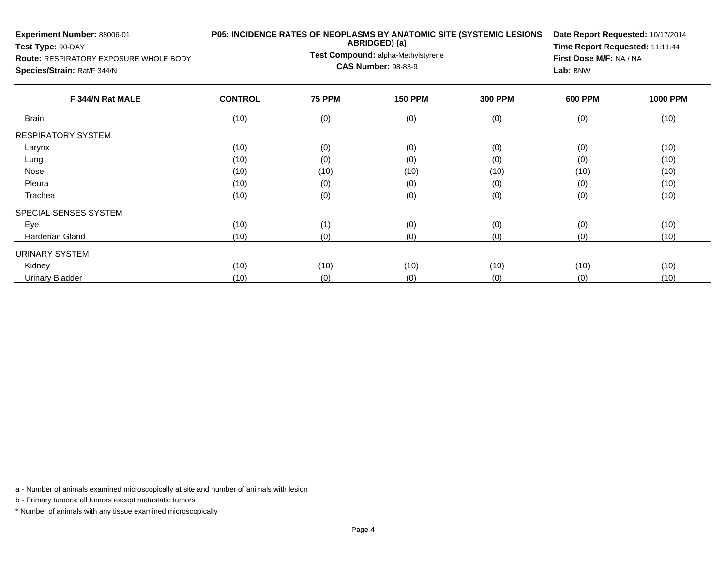| Experiment Number: 88006-01<br>Test Type: 90-DAY<br><b>Route: RESPIRATORY EXPOSURE WHOLE BODY</b><br>Species/Strain: Rat/F 344/N | P05: INCIDENCE RATES OF NEOPLASMS BY ANATOMIC SITE (SYSTEMIC LESIONS<br>ABRIDGED) (a)<br>Test Compound: alpha-Methylstyrene<br><b>CAS Number: 98-83-9</b> |               |                |                | First Dose M/F: NA / NA<br>Lab: BNW | Date Report Requested: 10/17/2014<br>Time Report Requested: 11:11:44 |  |  |
|----------------------------------------------------------------------------------------------------------------------------------|-----------------------------------------------------------------------------------------------------------------------------------------------------------|---------------|----------------|----------------|-------------------------------------|----------------------------------------------------------------------|--|--|
| F 344/N Rat MALE                                                                                                                 | <b>CONTROL</b>                                                                                                                                            | <b>75 PPM</b> | <b>150 PPM</b> | <b>300 PPM</b> | <b>600 PPM</b>                      | <b>1000 PPM</b>                                                      |  |  |
| <b>Brain</b>                                                                                                                     | (10)                                                                                                                                                      | (0)           | (0)            | (0)            | (0)                                 | (10)                                                                 |  |  |
| <b>RESPIRATORY SYSTEM</b>                                                                                                        |                                                                                                                                                           |               |                |                |                                     |                                                                      |  |  |
| Larynx                                                                                                                           | (10)                                                                                                                                                      | (0)           | (0)            | (0)            | (0)                                 | (10)                                                                 |  |  |
| Lung                                                                                                                             | (10)                                                                                                                                                      | (0)           | (0)            | (0)            | (0)                                 | (10)                                                                 |  |  |
| Nose                                                                                                                             | (10)                                                                                                                                                      | (10)          | (10)           | (10)           | (10)                                | (10)                                                                 |  |  |
| Pleura                                                                                                                           | (10)                                                                                                                                                      | (0)           | (0)            | (0)            | (0)                                 | (10)                                                                 |  |  |
| Trachea                                                                                                                          | (10)                                                                                                                                                      | (0)           | (0)            | (0)            | (0)                                 | (10)                                                                 |  |  |
| SPECIAL SENSES SYSTEM                                                                                                            |                                                                                                                                                           |               |                |                |                                     |                                                                      |  |  |
| Eye                                                                                                                              | (10)                                                                                                                                                      | (1)           | (0)            | (0)            | (0)                                 | (10)                                                                 |  |  |
| Harderian Gland                                                                                                                  | (10)                                                                                                                                                      | (0)           | (0)            | (0)            | (0)                                 | (10)                                                                 |  |  |
| <b>URINARY SYSTEM</b>                                                                                                            |                                                                                                                                                           |               |                |                |                                     |                                                                      |  |  |
| Kidney                                                                                                                           | (10)                                                                                                                                                      | (10)          | (10)           | (10)           | (10)                                | (10)                                                                 |  |  |
| <b>Urinary Bladder</b>                                                                                                           | (10)                                                                                                                                                      | (0)           | (0)            | (0)            | (0)                                 | (10)                                                                 |  |  |

b - Primary tumors: all tumors except metastatic tumors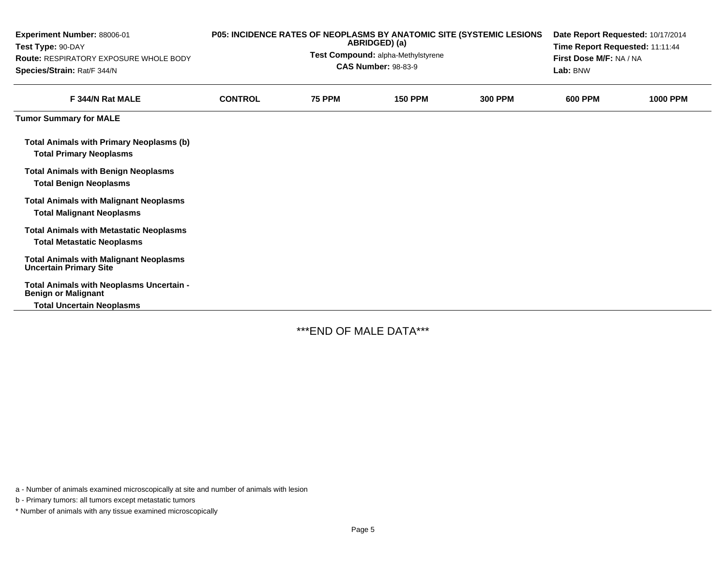| Experiment Number: 88006-01<br>Test Type: 90-DAY<br><b>Route: RESPIRATORY EXPOSURE WHOLE BODY</b><br>Species/Strain: Rat/F 344/N | P05: INCIDENCE RATES OF NEOPLASMS BY ANATOMIC SITE (SYSTEMIC LESIONS<br>ABRIDGED) (a)<br>Test Compound: alpha-Methylstyrene<br><b>CAS Number: 98-83-9</b> |               |                |                | Date Report Requested: 10/17/2014<br>Time Report Requested: 11:11:44<br>First Dose M/F: NA / NA<br>Lab: BNW |                 |  |
|----------------------------------------------------------------------------------------------------------------------------------|-----------------------------------------------------------------------------------------------------------------------------------------------------------|---------------|----------------|----------------|-------------------------------------------------------------------------------------------------------------|-----------------|--|
| F 344/N Rat MALE                                                                                                                 | <b>CONTROL</b>                                                                                                                                            | <b>75 PPM</b> | <b>150 PPM</b> | <b>300 PPM</b> | <b>600 PPM</b>                                                                                              | <b>1000 PPM</b> |  |
| <b>Tumor Summary for MALE</b>                                                                                                    |                                                                                                                                                           |               |                |                |                                                                                                             |                 |  |
| <b>Total Animals with Primary Neoplasms (b)</b><br><b>Total Primary Neoplasms</b>                                                |                                                                                                                                                           |               |                |                |                                                                                                             |                 |  |
| <b>Total Animals with Benign Neoplasms</b><br><b>Total Benign Neoplasms</b>                                                      |                                                                                                                                                           |               |                |                |                                                                                                             |                 |  |
| <b>Total Animals with Malignant Neoplasms</b><br><b>Total Malignant Neoplasms</b>                                                |                                                                                                                                                           |               |                |                |                                                                                                             |                 |  |
| <b>Total Animals with Metastatic Neoplasms</b><br><b>Total Metastatic Neoplasms</b>                                              |                                                                                                                                                           |               |                |                |                                                                                                             |                 |  |
| <b>Total Animals with Malignant Neoplasms</b><br><b>Uncertain Primary Site</b>                                                   |                                                                                                                                                           |               |                |                |                                                                                                             |                 |  |
| Total Animals with Neoplasms Uncertain -<br><b>Benign or Malignant</b><br><b>Total Uncertain Neoplasms</b>                       |                                                                                                                                                           |               |                |                |                                                                                                             |                 |  |

\*\*\*END OF MALE DATA\*\*\*

a - Number of animals examined microscopically at site and number of animals with lesion

b - Primary tumors: all tumors except metastatic tumors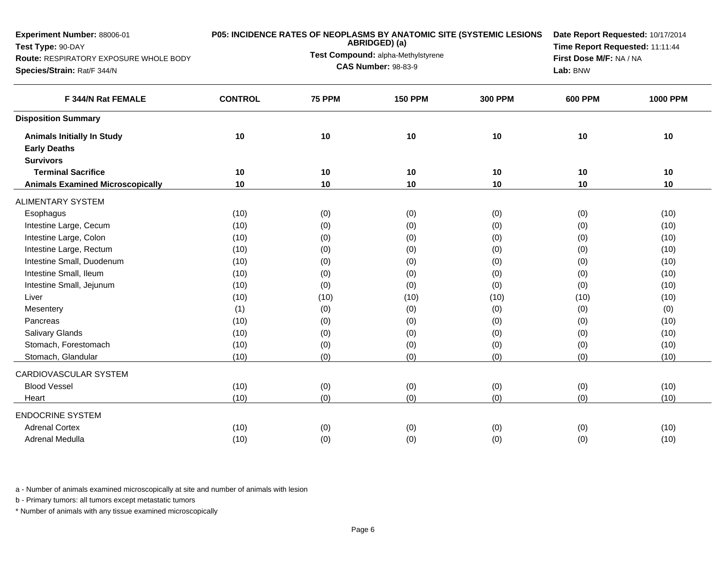| Experiment Number: 88006-01<br>Test Type: 90-DAY<br>Route: RESPIRATORY EXPOSURE WHOLE BODY<br>Species/Strain: Rat/F 344/N |                | <b>P05: INCIDENCE RATES OF NEOPLASMS BY ANATOMIC SITE (SYSTEMIC LESIONS</b><br>ABRIDGED) (a)<br>Test Compound: alpha-Methylstyrene<br><b>CAS Number: 98-83-9</b> |                |                |                | Date Report Requested: 10/17/2014<br>Time Report Requested: 11:11:44<br>First Dose M/F: NA / NA |
|---------------------------------------------------------------------------------------------------------------------------|----------------|------------------------------------------------------------------------------------------------------------------------------------------------------------------|----------------|----------------|----------------|-------------------------------------------------------------------------------------------------|
| F 344/N Rat FEMALE                                                                                                        | <b>CONTROL</b> | <b>75 PPM</b>                                                                                                                                                    | <b>150 PPM</b> | <b>300 PPM</b> | <b>600 PPM</b> | <b>1000 PPM</b>                                                                                 |
| <b>Disposition Summary</b>                                                                                                |                |                                                                                                                                                                  |                |                |                |                                                                                                 |
| <b>Animals Initially In Study</b><br><b>Early Deaths</b><br><b>Survivors</b>                                              | 10             | 10                                                                                                                                                               | 10             | 10             | 10             | 10                                                                                              |
| <b>Terminal Sacrifice</b>                                                                                                 | 10             | 10                                                                                                                                                               | 10             | 10             | 10             | 10                                                                                              |
| <b>Animals Examined Microscopically</b>                                                                                   | 10             | 10                                                                                                                                                               | 10             | 10             | 10             | 10                                                                                              |
| <b>ALIMENTARY SYSTEM</b>                                                                                                  |                |                                                                                                                                                                  |                |                |                |                                                                                                 |
| Esophagus                                                                                                                 | (10)           | (0)                                                                                                                                                              | (0)            | (0)            | (0)            | (10)                                                                                            |
| Intestine Large, Cecum                                                                                                    | (10)           | (0)                                                                                                                                                              | (0)            | (0)            | (0)            | (10)                                                                                            |
| Intestine Large, Colon                                                                                                    | (10)           | (0)                                                                                                                                                              | (0)            | (0)            | (0)            | (10)                                                                                            |
| Intestine Large, Rectum                                                                                                   | (10)           | (0)                                                                                                                                                              | (0)            | (0)            | (0)            | (10)                                                                                            |
| Intestine Small, Duodenum                                                                                                 | (10)           | (0)                                                                                                                                                              | (0)            | (0)            | (0)            | (10)                                                                                            |
| Intestine Small, Ileum                                                                                                    | (10)           | (0)                                                                                                                                                              | (0)            | (0)            | (0)            | (10)                                                                                            |
| Intestine Small, Jejunum                                                                                                  | (10)           | (0)                                                                                                                                                              | (0)            | (0)            | (0)            | (10)                                                                                            |
| Liver                                                                                                                     | (10)           | (10)                                                                                                                                                             | (10)           | (10)           | (10)           | (10)                                                                                            |
| Mesentery                                                                                                                 | (1)            | (0)                                                                                                                                                              | (0)            | (0)            | (0)            | (0)                                                                                             |
| Pancreas                                                                                                                  | (10)           | (0)                                                                                                                                                              | (0)            | (0)            | (0)            | (10)                                                                                            |
| <b>Salivary Glands</b>                                                                                                    | (10)           | (0)                                                                                                                                                              | (0)            | (0)            | (0)            | (10)                                                                                            |
| Stomach, Forestomach                                                                                                      | (10)           | (0)                                                                                                                                                              | (0)            | (0)            | (0)            | (10)                                                                                            |
| Stomach, Glandular                                                                                                        | (10)           | (0)                                                                                                                                                              | (0)            | (0)            | (0)            | (10)                                                                                            |
| CARDIOVASCULAR SYSTEM                                                                                                     |                |                                                                                                                                                                  |                |                |                |                                                                                                 |
| <b>Blood Vessel</b>                                                                                                       | (10)           | (0)                                                                                                                                                              | (0)            | (0)            | (0)            | (10)                                                                                            |
| Heart                                                                                                                     | (10)           | (0)                                                                                                                                                              | (0)            | (0)            | (0)            | (10)                                                                                            |
| <b>ENDOCRINE SYSTEM</b>                                                                                                   |                |                                                                                                                                                                  |                |                |                |                                                                                                 |
| <b>Adrenal Cortex</b>                                                                                                     | (10)           | (0)                                                                                                                                                              | (0)            | (0)            | (0)            | (10)                                                                                            |
| Adrenal Medulla                                                                                                           | (10)           | (0)                                                                                                                                                              | (0)            | (0)            | (0)            | (10)                                                                                            |
|                                                                                                                           |                |                                                                                                                                                                  |                |                |                |                                                                                                 |

b - Primary tumors: all tumors except metastatic tumors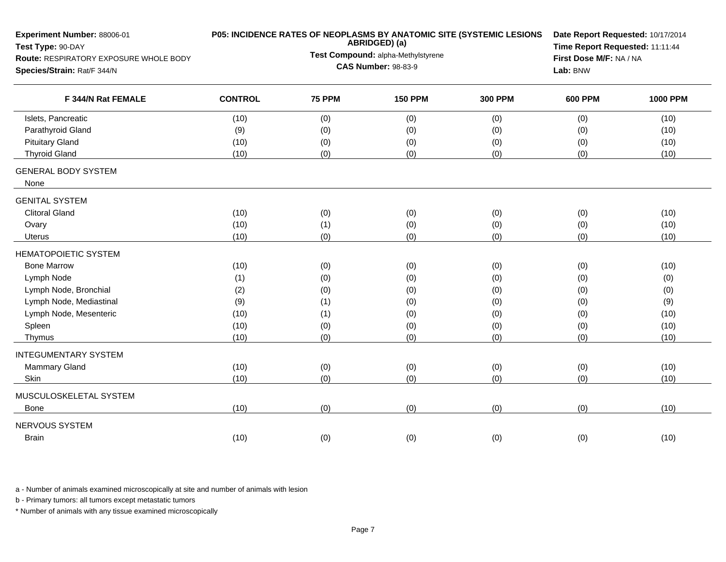| Experiment Number: 88006-01<br>Test Type: 90-DAY |                |               | ABRIDGED) (a)                      | P05: INCIDENCE RATES OF NEOPLASMS BY ANATOMIC SITE (SYSTEMIC LESIONS | Date Report Requested: 10/17/2014<br>Time Report Requested: 11:11:44<br>First Dose M/F: NA / NA |                 |  |  |
|--------------------------------------------------|----------------|---------------|------------------------------------|----------------------------------------------------------------------|-------------------------------------------------------------------------------------------------|-----------------|--|--|
| Route: RESPIRATORY EXPOSURE WHOLE BODY           |                |               | Test Compound: alpha-Methylstyrene |                                                                      |                                                                                                 |                 |  |  |
| Species/Strain: Rat/F 344/N                      |                |               | <b>CAS Number: 98-83-9</b>         | Lab: BNW                                                             |                                                                                                 |                 |  |  |
| F 344/N Rat FEMALE                               | <b>CONTROL</b> | <b>75 PPM</b> | <b>150 PPM</b>                     | <b>300 PPM</b>                                                       | <b>600 PPM</b>                                                                                  | <b>1000 PPM</b> |  |  |
| Islets, Pancreatic                               | (10)           | (0)           | (0)                                | (0)                                                                  | (0)                                                                                             | (10)            |  |  |
| Parathyroid Gland                                | (9)            | (0)           | (0)                                | (0)                                                                  | (0)                                                                                             | (10)            |  |  |
| <b>Pituitary Gland</b>                           | (10)           | (0)           | (0)                                | (0)                                                                  | (0)                                                                                             | (10)            |  |  |
| <b>Thyroid Gland</b>                             | (10)           | (0)           | (0)                                | (0)                                                                  | (0)                                                                                             | (10)            |  |  |
| <b>GENERAL BODY SYSTEM</b><br>None               |                |               |                                    |                                                                      |                                                                                                 |                 |  |  |
| <b>GENITAL SYSTEM</b>                            |                |               |                                    |                                                                      |                                                                                                 |                 |  |  |
| <b>Clitoral Gland</b>                            | (10)           | (0)           | (0)                                | (0)                                                                  | (0)                                                                                             | (10)            |  |  |
| Ovary                                            | (10)           | (1)           | (0)                                | (0)                                                                  | (0)                                                                                             | (10)            |  |  |
| <b>Uterus</b>                                    | (10)           | (0)           | (0)                                | (0)                                                                  | (0)                                                                                             | (10)            |  |  |
| <b>HEMATOPOIETIC SYSTEM</b>                      |                |               |                                    |                                                                      |                                                                                                 |                 |  |  |
| <b>Bone Marrow</b>                               | (10)           | (0)           | (0)                                | (0)                                                                  | (0)                                                                                             | (10)            |  |  |
| Lymph Node                                       | (1)            | (0)           | (0)                                | (0)                                                                  | (0)                                                                                             | (0)             |  |  |
| Lymph Node, Bronchial                            | (2)            | (0)           | (0)                                | (0)                                                                  | (0)                                                                                             | (0)             |  |  |
| Lymph Node, Mediastinal                          | (9)            | (1)           | (0)                                | (0)                                                                  | (0)                                                                                             | (9)             |  |  |
| Lymph Node, Mesenteric                           | (10)           | (1)           | (0)                                | (0)                                                                  | (0)                                                                                             | (10)            |  |  |
| Spleen                                           | (10)           | (0)           | (0)                                | (0)                                                                  | (0)                                                                                             | (10)            |  |  |
| Thymus                                           | (10)           | (0)           | (0)                                | (0)                                                                  | (0)                                                                                             | (10)            |  |  |
| <b>INTEGUMENTARY SYSTEM</b>                      |                |               |                                    |                                                                      |                                                                                                 |                 |  |  |
| <b>Mammary Gland</b>                             | (10)           | (0)           | (0)                                | (0)                                                                  | (0)                                                                                             | (10)            |  |  |
| Skin                                             | (10)           | (0)           | (0)                                | (0)                                                                  | (0)                                                                                             | (10)            |  |  |
| MUSCULOSKELETAL SYSTEM                           |                |               |                                    |                                                                      |                                                                                                 |                 |  |  |
| <b>Bone</b>                                      | (10)           | (0)           | (0)                                | (0)                                                                  | (0)                                                                                             | (10)            |  |  |
| NERVOUS SYSTEM                                   |                |               |                                    |                                                                      |                                                                                                 |                 |  |  |
| <b>Brain</b>                                     | (10)           | (0)           | (0)                                | (0)                                                                  | (0)                                                                                             | (10)            |  |  |

b - Primary tumors: all tumors except metastatic tumors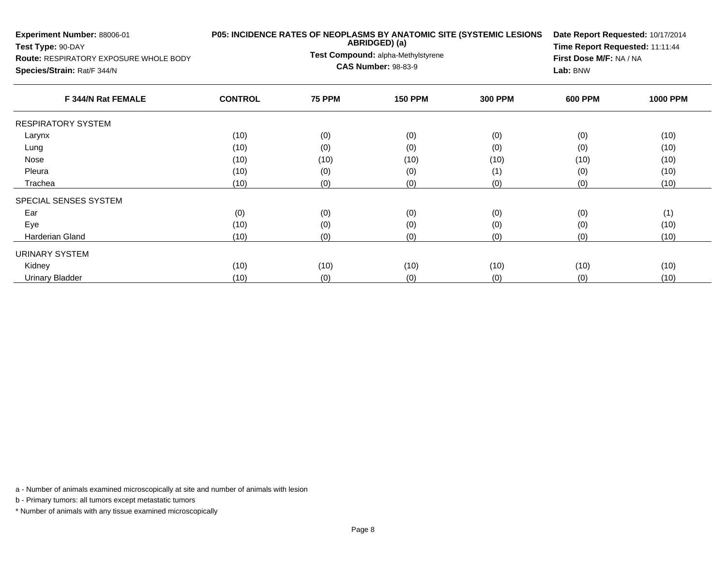| Experiment Number: 88006-01<br>Test Type: 90-DAY<br><b>Route: RESPIRATORY EXPOSURE WHOLE BODY</b><br>Species/Strain: Rat/F 344/N |                | P05: INCIDENCE RATES OF NEOPLASMS BY ANATOMIC SITE (SYSTEMIC LESIONS<br>ABRIDGED) (a)<br>Test Compound: alpha-Methylstyrene<br><b>CAS Number: 98-83-9</b> | Date Report Requested: 10/17/2014<br>First Dose M/F: NA / NA<br>Lab: BNW | Time Report Requested: 11:11:44 |                |                 |
|----------------------------------------------------------------------------------------------------------------------------------|----------------|-----------------------------------------------------------------------------------------------------------------------------------------------------------|--------------------------------------------------------------------------|---------------------------------|----------------|-----------------|
| F 344/N Rat FEMALE                                                                                                               | <b>CONTROL</b> | <b>75 PPM</b>                                                                                                                                             | <b>150 PPM</b>                                                           | <b>300 PPM</b>                  | <b>600 PPM</b> | <b>1000 PPM</b> |
| <b>RESPIRATORY SYSTEM</b>                                                                                                        |                |                                                                                                                                                           |                                                                          |                                 |                |                 |
| Larynx                                                                                                                           | (10)           | (0)                                                                                                                                                       | (0)                                                                      | (0)                             | (0)            | (10)            |
| Lung                                                                                                                             | (10)           | (0)                                                                                                                                                       | (0)                                                                      | (0)                             | (0)            | (10)            |
| Nose                                                                                                                             | (10)           | (10)                                                                                                                                                      | (10)                                                                     | (10)                            | (10)           | (10)            |
| Pleura                                                                                                                           | (10)           | (0)                                                                                                                                                       | (0)                                                                      | (1)                             | (0)            | (10)            |
| Trachea                                                                                                                          | (10)           | (0)                                                                                                                                                       | (0)                                                                      | (0)                             | (0)            | (10)            |
| SPECIAL SENSES SYSTEM                                                                                                            |                |                                                                                                                                                           |                                                                          |                                 |                |                 |
| Ear                                                                                                                              | (0)            | (0)                                                                                                                                                       | (0)                                                                      | (0)                             | (0)            | (1)             |
| Eye                                                                                                                              | (10)           | (0)                                                                                                                                                       | (0)                                                                      | (0)                             | (0)            | (10)            |
| <b>Harderian Gland</b>                                                                                                           | (10)           | (0)                                                                                                                                                       | (0)                                                                      | (0)                             | (0)            | (10)            |
| URINARY SYSTEM                                                                                                                   |                |                                                                                                                                                           |                                                                          |                                 |                |                 |
| Kidney                                                                                                                           | (10)           | (10)                                                                                                                                                      | (10)                                                                     | (10)                            | (10)           | (10)            |
| <b>Urinary Bladder</b>                                                                                                           | (10)           | (0)                                                                                                                                                       | (0)                                                                      | (0)                             | (0)            | (10)            |

b - Primary tumors: all tumors except metastatic tumors